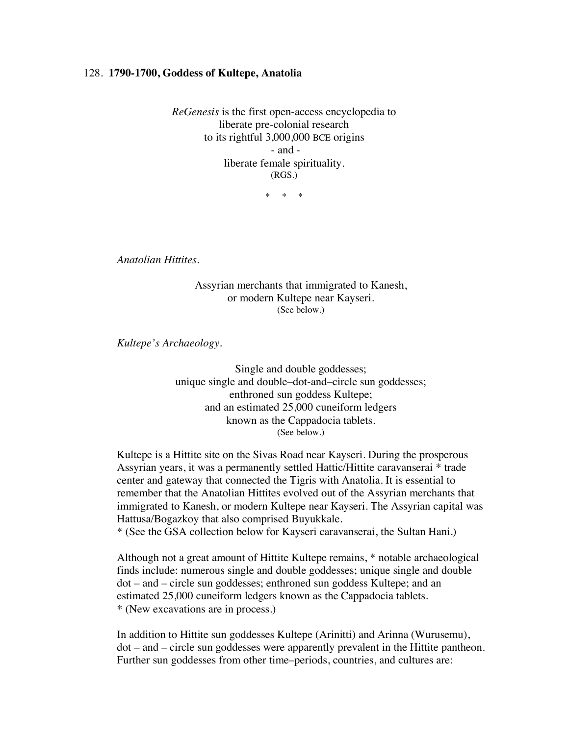## 128. **1790-1700, Goddess of Kultepe, Anatolia**

*ReGenesis* is the first open-access encyclopedia to liberate pre-colonial research to its rightful 3,000,000 BCE origins - and liberate female spirituality. (RGS.)

\* \* \*

*Anatolian Hittites.*

Assyrian merchants that immigrated to Kanesh, or modern Kultepe near Kayseri. (See below.)

*Kultepe's Archaeology.*

Single and double goddesses; unique single and double–dot-and–circle sun goddesses; enthroned sun goddess Kultepe; and an estimated 25,000 cuneiform ledgers known as the Cappadocia tablets. (See below.)

Kultepe is a Hittite site on the Sivas Road near Kayseri. During the prosperous Assyrian years, it was a permanently settled Hattic/Hittite caravanserai \* trade center and gateway that connected the Tigris with Anatolia. It is essential to remember that the Anatolian Hittites evolved out of the Assyrian merchants that immigrated to Kanesh, or modern Kultepe near Kayseri. The Assyrian capital was Hattusa/Bogazkoy that also comprised Buyukkale.

\* (See the GSA collection below for Kayseri caravanserai, the Sultan Hani.)

Although not a great amount of Hittite Kultepe remains, \* notable archaeological finds include: numerous single and double goddesses; unique single and double dot – and – circle sun goddesses; enthroned sun goddess Kultepe; and an estimated 25,000 cuneiform ledgers known as the Cappadocia tablets. \* (New excavations are in process.)

In addition to Hittite sun goddesses Kultepe (Arinitti) and Arinna (Wurusemu), dot – and – circle sun goddesses were apparently prevalent in the Hittite pantheon. Further sun goddesses from other time–periods, countries, and cultures are: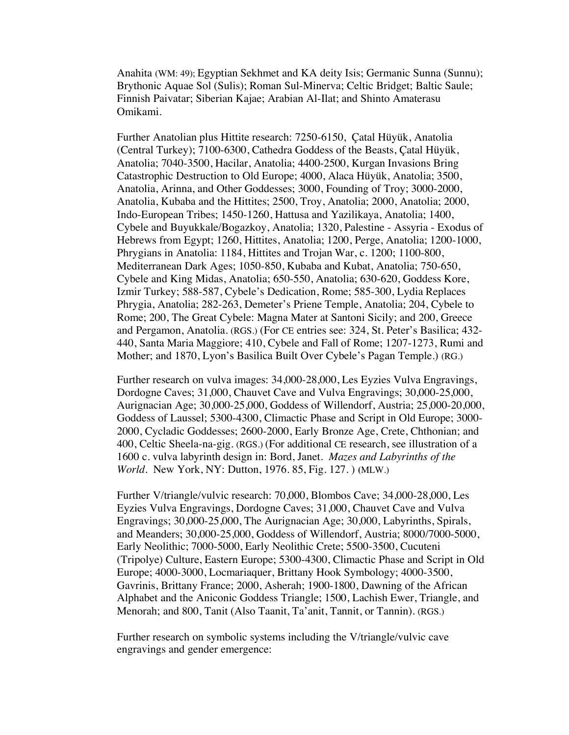Anahita (WM: 49); Egyptian Sekhmet and KA deity Isis; Germanic Sunna (Sunnu); Brythonic Aquae Sol (Sulis); Roman Sul-Minerva; Celtic Bridget; Baltic Saule; Finnish Paivatar; Siberian Kajae; Arabian Al-Ilat; and Shinto Amaterasu Omikami.

Further Anatolian plus Hittite research: 7250-6150, Çatal Hüyük, Anatolia (Central Turkey); 7100-6300, Cathedra Goddess of the Beasts, Çatal Hüyük, Anatolia; 7040-3500, Hacilar, Anatolia; 4400-2500, Kurgan Invasions Bring Catastrophic Destruction to Old Europe; 4000, Alaca Hüyük, Anatolia; 3500, Anatolia, Arinna, and Other Goddesses; 3000, Founding of Troy; 3000-2000, Anatolia, Kubaba and the Hittites; 2500, Troy, Anatolia; 2000, Anatolia; 2000, Indo-European Tribes; 1450-1260, Hattusa and Yazilikaya, Anatolia; 1400, Cybele and Buyukkale/Bogazkoy, Anatolia; 1320, Palestine - Assyria - Exodus of Hebrews from Egypt; 1260, Hittites, Anatolia; 1200, Perge, Anatolia; 1200-1000, Phrygians in Anatolia: 1184, Hittites and Trojan War, c. 1200; 1100-800, Mediterranean Dark Ages; 1050-850, Kubaba and Kubat, Anatolia; 750-650, Cybele and King Midas, Anatolia; 650-550, Anatolia; 630-620, Goddess Kore, Izmir Turkey; 588-587, Cybele's Dedication, Rome; 585-300, Lydia Replaces Phrygia, Anatolia; 282-263, Demeter's Priene Temple, Anatolia; 204, Cybele to Rome; 200, The Great Cybele: Magna Mater at Santoni Sicily; and 200, Greece and Pergamon, Anatolia. (RGS.) (For CE entries see: 324, St. Peter's Basilica; 432- 440, Santa Maria Maggiore; 410, Cybele and Fall of Rome; 1207-1273, Rumi and Mother; and 1870, Lyon's Basilica Built Over Cybele's Pagan Temple.) (RG.)

Further research on vulva images: 34,000-28,000, Les Eyzies Vulva Engravings, Dordogne Caves; 31,000, Chauvet Cave and Vulva Engravings; 30,000-25,000, Aurignacian Age; 30,000-25,000, Goddess of Willendorf, Austria; 25,000-20,000, Goddess of Laussel; 5300-4300, Climactic Phase and Script in Old Europe; 3000- 2000, Cycladic Goddesses; 2600-2000, Early Bronze Age, Crete, Chthonian; and 400, Celtic Sheela-na-gig. (RGS.) (For additional CE research, see illustration of a 1600 c. vulva labyrinth design in: Bord, Janet. *Mazes and Labyrinths of the World*. New York, NY: Dutton, 1976. 85, Fig. 127. ) **(**MLW.)

Further V/triangle/vulvic research: 70,000, Blombos Cave; 34,000-28,000, Les Eyzies Vulva Engravings, Dordogne Caves; 31,000, Chauvet Cave and Vulva Engravings; 30,000-25,000, The Aurignacian Age; 30,000, Labyrinths, Spirals, and Meanders; 30,000-25,000, Goddess of Willendorf, Austria; 8000/7000-5000, Early Neolithic; 7000-5000, Early Neolithic Crete; 5500-3500, Cucuteni (Tripolye) Culture, Eastern Europe; 5300-4300, Climactic Phase and Script in Old Europe; 4000-3000, Locmariaquer, Brittany Hook Symbology; 4000-3500, Gavrinis, Brittany France; 2000, Asherah; 1900-1800, Dawning of the African Alphabet and the Aniconic Goddess Triangle; 1500, Lachish Ewer, Triangle, and Menorah; and 800, Tanit (Also Taanit, Ta'anit, Tannit, or Tannin). (RGS.)

Further research on symbolic systems including the V/triangle/vulvic cave engravings and gender emergence: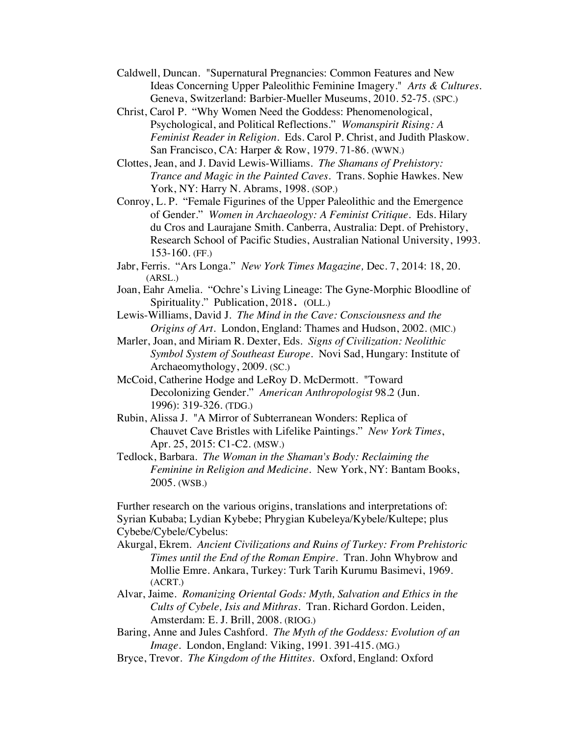- Caldwell, Duncan. "Supernatural Pregnancies: Common Features and New Ideas Concerning Upper Paleolithic Feminine Imagery." *Arts & Cultures.*  Geneva, Switzerland: Barbier-Mueller Museums, 2010. 52-75. (SPC.)
- Christ, Carol P. "Why Women Need the Goddess: Phenomenological, Psychological, and Political Reflections." *Womanspirit Rising: A Feminist Reader in Religion*. Eds. Carol P. Christ, and Judith Plaskow. San Francisco, CA: Harper & Row, 1979. 71-86. (WWN.)
- Clottes, Jean, and J. David Lewis-Williams. *The Shamans of Prehistory: Trance and Magic in the Painted Caves.* Trans. Sophie Hawkes. New York, NY: Harry N. Abrams, 1998. (SOP.)
- Conroy, L. P. "Female Figurines of the Upper Paleolithic and the Emergence of Gender." *Women in Archaeology: A Feminist Critique*. Eds. Hilary du Cros and Laurajane Smith. Canberra, Australia: Dept. of Prehistory, Research School of Pacific Studies, Australian National University, 1993. 153-160. (FF.)
- Jabr, Ferris. "Ars Longa." *New York Times Magazine,* Dec. 7, 2014: 18, 20. (ARSL.)
- Joan, Eahr Amelia. "Ochre's Living Lineage: The Gyne-Morphic Bloodline of Spirituality." Publication, 2018. (OLL.)
- Lewis-Williams, David J. *The Mind in the Cave: Consciousness and the Origins of Art.* London, England: Thames and Hudson, 2002. (MIC.)
- Marler, Joan, and Miriam R. Dexter, Eds. *Signs of Civilization: Neolithic Symbol System of Southeast Europe*. Novi Sad, Hungary: Institute of Archaeomythology, 2009. (SC.)
- McCoid, Catherine Hodge and LeRoy D. McDermott. "Toward Decolonizing Gender." *American Anthropologist* 98.2 (Jun. 1996): 319-326. (TDG.)
- Rubin, Alissa J. "A Mirror of Subterranean Wonders: Replica of Chauvet Cave Bristles with Lifelike Paintings." *New York Times*, Apr. 25, 2015: C1-C2. (MSW.)
- Tedlock, Barbara. *The Woman in the Shaman's Body: Reclaiming the Feminine in Religion and Medicine*. New York, NY: Bantam Books, 2005. (WSB.)

Further research on the various origins, translations and interpretations of: Syrian Kubaba; Lydian Kybebe; Phrygian Kubeleya/Kybele/Kultepe; plus Cybebe/Cybele/Cybelus:

- Akurgal, Ekrem*. Ancient Civilizations and Ruins of Turkey: From Prehistoric Times until the End of the Roman Empire*. Tran. John Whybrow and Mollie Emre. Ankara, Turkey: Turk Tarih Kurumu Basimevi, 1969. (ACRT.)
- Alvar, Jaime. *Romanizing Oriental Gods: Myth, Salvation and Ethics in the Cults of Cybele, Isis and Mithras*. Tran. Richard Gordon. Leiden, Amsterdam: E. J. Brill, 2008. (RIOG.)
- Baring, Anne and Jules Cashford. *The Myth of the Goddess: Evolution of an Image*. London, England: Viking, 1991. 391-415. (MG.)
- Bryce, Trevor. *The Kingdom of the Hittites*. Oxford, England: Oxford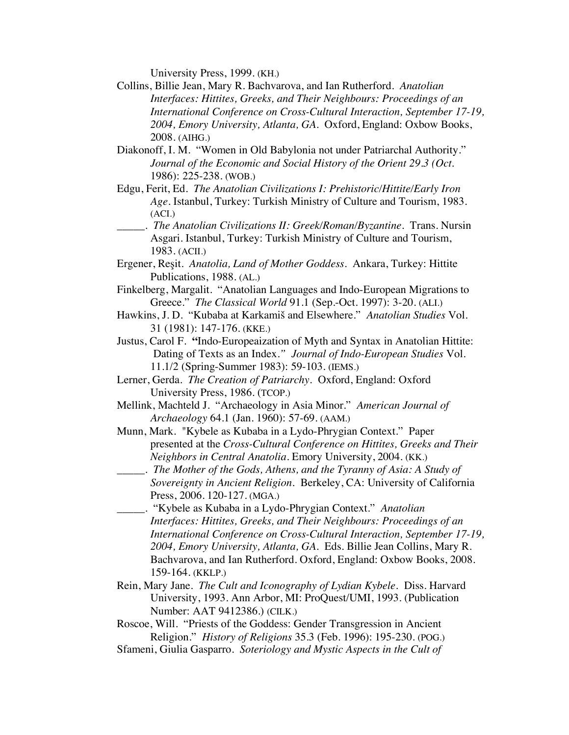University Press, 1999. (KH.)

- Collins, Billie Jean, Mary R. Bachvarova, and Ian Rutherford. *Anatolian Interfaces: Hittites, Greeks, and Their Neighbours: Proceedings of an International Conference on Cross-Cultural Interaction, September 17-19, 2004, Emory University, Atlanta, GA.* Oxford, England: Oxbow Books, 2008. (AIHG.)
- Diakonoff, I. M. "Women in Old Babylonia not under Patriarchal Authority." *Journal of the Economic and Social History of the Orient 29.3 (Oct.*  1986): 225-238. (WOB.)
- Edgu, Ferit, Ed. *The Anatolian Civilizations I: Prehistoric/Hittite/Early Iron Age*. Istanbul, Turkey: Turkish Ministry of Culture and Tourism, 1983. (ACI.)
	- \_\_\_\_\_. *The Anatolian Civilizations II: Greek/Roman/Byzantine*. Trans. Nursin Asgari. Istanbul, Turkey: Turkish Ministry of Culture and Tourism, 1983. (ACII.)
- Ergener, Reşit. *Anatolia, Land of Mother Goddess*. Ankara, Turkey: Hittite Publications, 1988. (AL.)
- Finkelberg, Margalit. "Anatolian Languages and Indo-European Migrations to Greece." *The Classical World* 91.1 (Sep.-Oct. 1997): 3-20. (ALI.)
- Hawkins, J. D. "Kubaba at Karkamiš and Elsewhere." *Anatolian Studies* Vol. 31 (1981): 147-176. (KKE.)
- Justus, Carol F. **"**Indo-Europeaization of Myth and Syntax in Anatolian Hittite: Dating of Texts as an Index.*" Journal of Indo-European Studies* Vol. 11.1/2 (Spring-Summer 1983): 59-103. (IEMS.)
- Lerner, Gerda. *The Creation of Patriarchy.* Oxford, England: Oxford University Press, 1986. (TCOP.)
- Mellink, Machteld J. "Archaeology in Asia Minor." *American Journal of Archaeology* 64.1 (Jan. 1960): 57-69. (AAM.)
- Munn, Mark. "Kybele as Kubaba in a Lydo-Phrygian Context." Paper presented at the *Cross-Cultural Conference on Hittites, Greeks and Their Neighbors in Central Anatolia.* Emory University, 2004. (KK.)
- \_\_\_\_\_. *The Mother of the Gods, Athens, and the Tyranny of Asia: A Study of Sovereignty in Ancient Religion.* Berkeley, CA: University of California Press, 2006. 120-127. (MGA.)
- \_\_\_\_\_. "Kybele as Kubaba in a Lydo-Phrygian Context." *Anatolian Interfaces: Hittites, Greeks, and Their Neighbours: Proceedings of an International Conference on Cross-Cultural Interaction, September 17-19, 2004, Emory University, Atlanta, GA.* Eds. Billie Jean Collins, Mary R. Bachvarova, and Ian Rutherford. Oxford, England: Oxbow Books, 2008. 159-164. (KKLP.)
- Rein, Mary Jane. *The Cult and Iconography of Lydian Kybele.* Diss. Harvard University, 1993. Ann Arbor, MI: ProQuest/UMI, 1993. (Publication Number: AAT 9412386.) (CILK.)
- Roscoe, Will. "Priests of the Goddess: Gender Transgression in Ancient Religion." *History of Religions* 35.3 (Feb. 1996): 195-230. (POG.)
- Sfameni, Giulia Gasparro. *Soteriology and Mystic Aspects in the Cult of*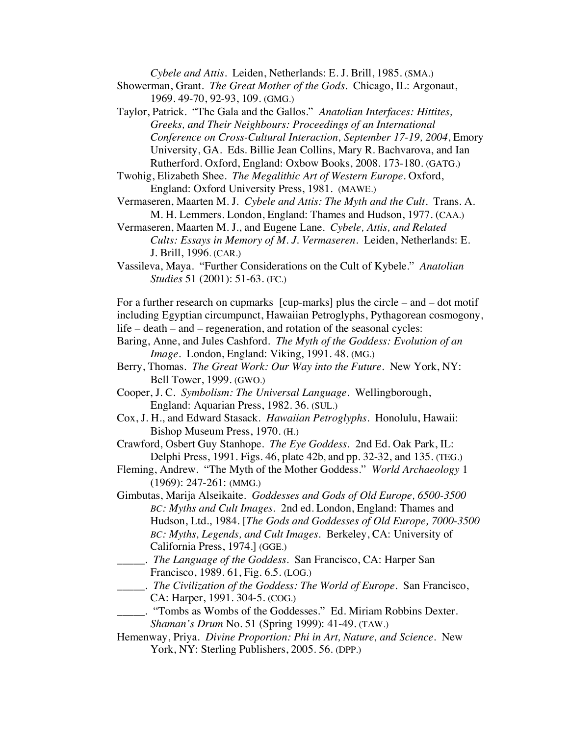*Cybele and Attis.* Leiden, Netherlands: E. J. Brill, 1985. (SMA.)

- Showerman, Grant. *The Great Mother of the Gods*. Chicago, IL: Argonaut, 1969. 49-70, 92-93, 109. (GMG.)
- Taylor, Patrick. "The Gala and the Gallos." *Anatolian Interfaces: Hittites, Greeks, and Their Neighbours: Proceedings of an International Conference on Cross-Cultural Interaction, September 17-19, 2004*, Emory University, GA.Eds. Billie Jean Collins, Mary R. Bachvarova, and Ian Rutherford. Oxford, England: Oxbow Books, 2008. 173-180. (GATG.)
- Twohig, Elizabeth Shee. *The Megalithic Art of Western Europe*. Oxford, England: Oxford University Press, 1981. (MAWE.)
- Vermaseren, Maarten M. J. *Cybele and Attis: The Myth and the Cult.* Trans. A. M. H. Lemmers. London, England: Thames and Hudson, 1977. (CAA.)
- Vermaseren, Maarten M. J., and Eugene Lane. *Cybele, Attis, and Related Cults: Essays in Memory of M. J. Vermaseren*. Leiden, Netherlands: E. J. Brill, 1996. (CAR.)
- Vassileva, Maya. "Further Considerations on the Cult of Kybele." *Anatolian Studies* 51 (2001): 51-63. (FC.)

For a further research on cupmarks [cup-marks] plus the circle – and – dot motif including Egyptian circumpunct, Hawaiian Petroglyphs, Pythagorean cosmogony, life – death – and – regeneration, and rotation of the seasonal cycles:

- Baring, Anne, and Jules Cashford. *The Myth of the Goddess: Evolution of an Image*. London, England: Viking, 1991. 48. (MG.)
- Berry, Thomas. *The Great Work: Our Way into the Future.* New York, NY: Bell Tower, 1999. (GWO.)
- Cooper, J. C. *Symbolism: The Universal Language*. Wellingborough, England: Aquarian Press, 1982. 36. (SUL.)
- Cox, J. H., and Edward Stasack. *Hawaiian Petroglyphs*. Honolulu, Hawaii: Bishop Museum Press, 1970. (H.)
- Crawford, Osbert Guy Stanhope. *The Eye Goddess*. 2nd Ed. Oak Park, IL: Delphi Press, 1991. Figs. 46, plate 42b, and pp. 32-32, and 135. (TEG.)
- Fleming, Andrew. "The Myth of the Mother Goddess." *World Archaeology* 1 (1969): 247-261: (MMG.)
- Gimbutas, Marija Alseikaite. *Goddesses and Gods of Old Europe, 6500-3500 BC: Myths and Cult Images*. 2nd ed. London, England: Thames and Hudson, Ltd., 1984. [*The Gods and Goddesses of Old Europe, 7000-3500 BC: Myths, Legends, and Cult Images.* Berkeley, CA: University of California Press, 1974.] (GGE.)
- \_\_\_\_\_. *The Language of the Goddess*. San Francisco, CA: Harper San Francisco, 1989. 61, Fig. 6.5. (LOG.)
- \_\_\_\_\_. *The Civilization of the Goddess: The World of Europe*. San Francisco, CA: Harper, 1991. 304-5. (COG.)
- \_\_\_\_\_. "Tombs as Wombs of the Goddesses." Ed. Miriam Robbins Dexter. *Shaman's Drum* No. 51 (Spring 1999): 41-49. (TAW.)
- Hemenway, Priya. *Divine Proportion: Phi in Art, Nature, and Science*. New York, NY: Sterling Publishers, 2005. 56. (DPP.)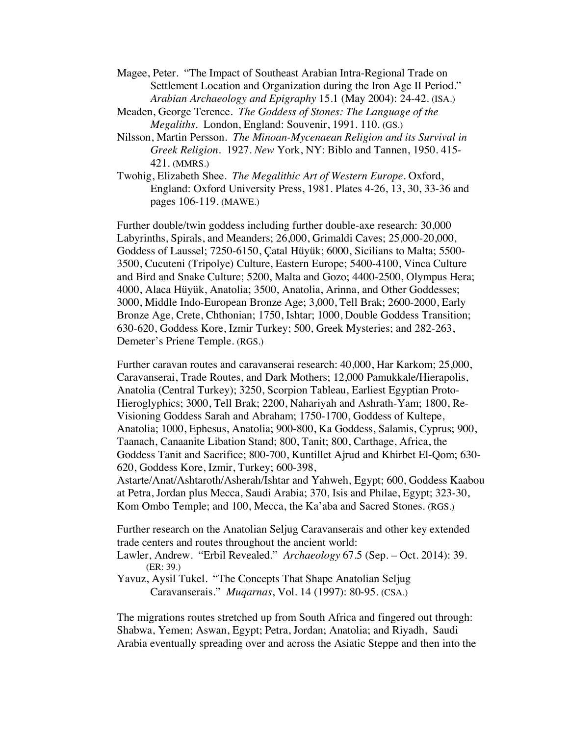- Magee, Peter. "The Impact of Southeast Arabian Intra-Regional Trade on Settlement Location and Organization during the Iron Age II Period." *Arabian Archaeology and Epigraphy* 15.1 (May 2004): 24-42. (ISA.)
- Meaden, George Terence. *The Goddess of Stones: The Language of the Megaliths*. London, England: Souvenir, 1991. 110. (GS.)
- Nilsson, Martin Persson*. The Minoan-Mycenaean Religion and its Survival in Greek Religion.* 1927*. New* York, NY: Biblo and Tannen, 1950. 415- 421. (MMRS.)
- Twohig, Elizabeth Shee. *The Megalithic Art of Western Europe*. Oxford, England: Oxford University Press, 1981. Plates 4-26, 13, 30, 33-36 and pages 106-119. (MAWE.)

Further double/twin goddess including further double-axe research: 30,000 Labyrinths, Spirals, and Meanders; 26,000, Grimaldi Caves; 25,000-20,000, Goddess of Laussel; 7250-6150, Çatal Hüyük; 6000, Sicilians to Malta; 5500- 3500, Cucuteni (Tripolye) Culture, Eastern Europe; 5400-4100, Vinca Culture and Bird and Snake Culture; 5200, Malta and Gozo; 4400-2500, Olympus Hera; 4000, Alaca Hüyük, Anatolia; 3500, Anatolia, Arinna, and Other Goddesses; 3000, Middle Indo-European Bronze Age; 3,000, Tell Brak; 2600-2000, Early Bronze Age, Crete, Chthonian; 1750, Ishtar; 1000, Double Goddess Transition; 630-620, Goddess Kore, Izmir Turkey; 500, Greek Mysteries; and 282-263, Demeter's Priene Temple. (RGS.)

Further caravan routes and caravanserai research: 40,000, Har Karkom; 25,000, Caravanserai, Trade Routes, and Dark Mothers; 12,000 Pamukkale*/*Hierapolis, Anatolia (Central Turkey); 3250, Scorpion Tableau, Earliest Egyptian Proto-Hieroglyphics; 3000, Tell Brak; 2200, Nahariyah and Ashrath-Yam; 1800, Re-Visioning Goddess Sarah and Abraham; 1750-1700, Goddess of Kultepe, Anatolia; 1000, Ephesus, Anatolia; 900-800, Ka Goddess, Salamis, Cyprus; 900, Taanach, Canaanite Libation Stand; 800, Tanit; 800, Carthage, Africa, the Goddess Tanit and Sacrifice; 800-700, Kuntillet Ajrud and Khirbet El-Qom; 630- 620, Goddess Kore, Izmir, Turkey; 600-398,

Astarte/Anat/Ashtaroth/Asherah/Ishtar and Yahweh, Egypt; 600, Goddess Kaabou at Petra, Jordan plus Mecca, Saudi Arabia; 370, Isis and Philae, Egypt; 323-30, Kom Ombo Temple; and 100, Mecca, the Ka'aba and Sacred Stones. (RGS.)

Further research on the Anatolian Seljug Caravanserais and other key extended trade centers and routes throughout the ancient world:

Lawler, Andrew. "Erbil Revealed." *Archaeology* 67.5 (Sep. – Oct. 2014): 39. (ER: 39.)

Yavuz, Aysil Tukel. "The Concepts That Shape Anatolian Seljug Caravanserais." *Muqarnas*, Vol. 14 (1997): 80-95. (CSA.)

The migrations routes stretched up from South Africa and fingered out through: Shabwa, Yemen; Aswan, Egypt; Petra, Jordan; Anatolia; and Riyadh, Saudi Arabia eventually spreading over and across the Asiatic Steppe and then into the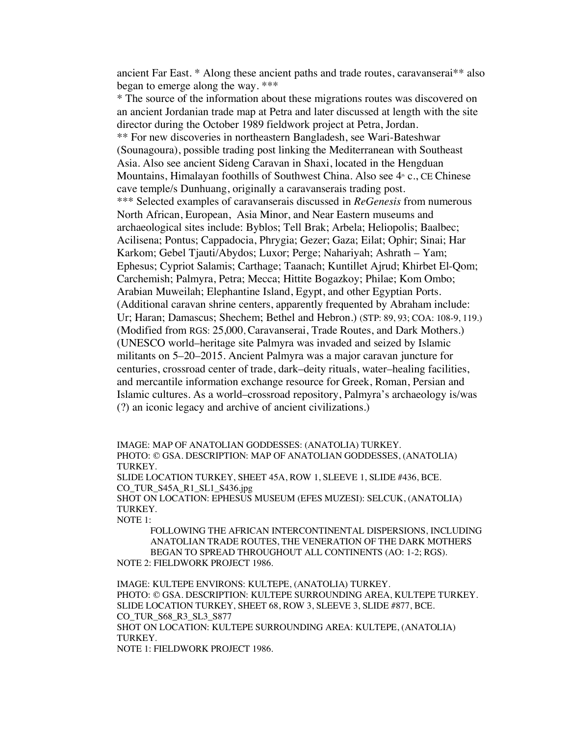ancient Far East. \* Along these ancient paths and trade routes, caravanserai\*\* also began to emerge along the way. \*\*\*

\* The source of the information about these migrations routes was discovered on an ancient Jordanian trade map at Petra and later discussed at length with the site director during the October 1989 fieldwork project at Petra, Jordan. \*\* For new discoveries in northeastern Bangladesh, see Wari-Bateshwar (Sounagoura), possible trading post linking the Mediterranean with Southeast Asia. Also see ancient Sideng Caravan in Shaxi, located in the Hengduan Mountains, Himalayan foothills of Southwest China. Also see  $4<sup>*</sup>$  c., CE Chinese cave temple/s Dunhuang, originally a caravanserais trading post. \*\*\* Selected examples of caravanserais discussed in *ReGenesis* from numerous North African, European, Asia Minor, and Near Eastern museums and archaeological sites include: Byblos; Tell Brak; Arbela; Heliopolis; Baalbec; Acilisena; Pontus; Cappadocia, Phrygia; Gezer; Gaza; Eilat; Ophir; Sinai; Har Karkom; Gebel Tjauti/Abydos; Luxor; Perge; Nahariyah; Ashrath – Yam; Ephesus; Cypriot Salamis; Carthage; Taanach; Kuntillet Ajrud; Khirbet El-Qom; Carchemish; Palmyra, Petra; Mecca; Hittite Bogazkoy; Philae; Kom Ombo; Arabian Muweilah; Elephantine Island, Egypt, and other Egyptian Ports. (Additional caravan shrine centers, apparently frequented by Abraham include: Ur; Haran; Damascus; Shechem; Bethel and Hebron.) (STP: 89, 93; COA: 108-9, 119.) (Modified from RGS: 25,000, Caravanserai, Trade Routes, and Dark Mothers.) (UNESCO world–heritage site Palmyra was invaded and seized by Islamic militants on 5–20–2015. Ancient Palmyra was a major caravan juncture for centuries, crossroad center of trade, dark–deity rituals, water–healing facilities, and mercantile information exchange resource for Greek, Roman, Persian and Islamic cultures. As a world–crossroad repository, Palmyra's archaeology is/was (?) an iconic legacy and archive of ancient civilizations.)

IMAGE: MAP OF ANATOLIAN GODDESSES: (ANATOLIA) TURKEY. PHOTO: © GSA. DESCRIPTION: MAP OF ANATOLIAN GODDESSES, (ANATOLIA) TURKEY. SLIDE LOCATION TURKEY, SHEET 45A, ROW 1, SLEEVE 1, SLIDE #436, BCE.

CO\_TUR\_S45A\_R1\_SL1\_S436.jpg

SHOT ON LOCATION: EPHESUS MUSEUM (EFES MUZESI): SELCUK, (ANATOLIA) TURKEY.

NOTE 1:

FOLLOWING THE AFRICAN INTERCONTINENTAL DISPERSIONS, INCLUDING ANATOLIAN TRADE ROUTES, THE VENERATION OF THE DARK MOTHERS BEGAN TO SPREAD THROUGHOUT ALL CONTINENTS (AO: 1-2; RGS). NOTE 2: FIELDWORK PROJECT 1986.

IMAGE: KULTEPE ENVIRONS: KULTEPE, (ANATOLIA) TURKEY. PHOTO: © GSA. DESCRIPTION: KULTEPE SURROUNDING AREA, KULTEPE TURKEY. SLIDE LOCATION TURKEY, SHEET 68, ROW 3, SLEEVE 3, SLIDE #877, BCE. CO\_TUR\_S68\_R3\_SL3\_S877 SHOT ON LOCATION: KULTEPE SURROUNDING AREA: KULTEPE, (ANATOLIA) **TURKEY** NOTE 1: FIELDWORK PROJECT 1986.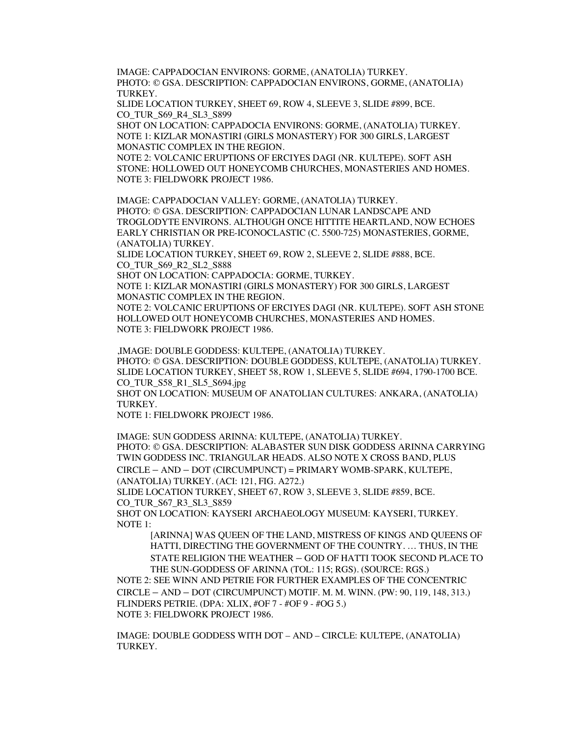IMAGE: CAPPADOCIAN ENVIRONS: GORME, (ANATOLIA) TURKEY. PHOTO: © GSA. DESCRIPTION: CAPPADOCIAN ENVIRONS, GORME, (ANATOLIA) TURKEY.

SLIDE LOCATION TURKEY, SHEET 69, ROW 4, SLEEVE 3, SLIDE #899, BCE. CO\_TUR\_S69\_R4\_SL3\_S899

SHOT ON LOCATION: CAPPADOCIA ENVIRONS: GORME, (ANATOLIA) TURKEY. NOTE 1: KIZLAR MONASTIRI (GIRLS MONASTERY) FOR 300 GIRLS, LARGEST MONASTIC COMPLEX IN THE REGION.

NOTE 2: VOLCANIC ERUPTIONS OF ERCIYES DAGI (NR. KULTEPE). SOFT ASH STONE: HOLLOWED OUT HONEYCOMB CHURCHES, MONASTERIES AND HOMES. NOTE 3: FIELDWORK PROJECT 1986.

IMAGE: CAPPADOCIAN VALLEY: GORME, (ANATOLIA) TURKEY. PHOTO: © GSA. DESCRIPTION: CAPPADOCIAN LUNAR LANDSCAPE AND TROGLODYTE ENVIRONS. ALTHOUGH ONCE HITTITE HEARTLAND, NOW ECHOES EARLY CHRISTIAN OR PRE-ICONOCLASTIC (C. 5500-725) MONASTERIES, GORME, (ANATOLIA) TURKEY.

SLIDE LOCATION TURKEY, SHEET 69, ROW 2, SLEEVE 2, SLIDE #888, BCE. CO\_TUR\_S69\_R2\_SL2\_S888

SHOT ON LOCATION: CAPPADOCIA: GORME, TURKEY.

NOTE 1: KIZLAR MONASTIRI (GIRLS MONASTERY) FOR 300 GIRLS, LARGEST MONASTIC COMPLEX IN THE REGION.

NOTE 2: VOLCANIC ERUPTIONS OF ERCIYES DAGI (NR. KULTEPE). SOFT ASH STONE HOLLOWED OUT HONEYCOMB CHURCHES, MONASTERIES AND HOMES. NOTE 3: FIELDWORK PROJECT 1986.

,IMAGE: DOUBLE GODDESS: KULTEPE, (ANATOLIA) TURKEY. PHOTO: © GSA. DESCRIPTION: DOUBLE GODDESS, KULTEPE, (ANATOLIA) TURKEY. SLIDE LOCATION TURKEY, SHEET 58, ROW 1, SLEEVE 5, SLIDE #694, 1790-1700 BCE. CO\_TUR\_S58\_R1\_SL5\_S694.jpg

SHOT ON LOCATION: MUSEUM OF ANATOLIAN CULTURES: ANKARA, (ANATOLIA) TURKEY.

NOTE 1: FIELDWORK PROJECT 1986.

IMAGE: SUN GODDESS ARINNA: KULTEPE, (ANATOLIA) TURKEY. PHOTO: © GSA. DESCRIPTION: ALABASTER SUN DISK GODDESS ARINNA CARRYING TWIN GODDESS INC. TRIANGULAR HEADS. ALSO NOTE X CROSS BAND, PLUS CIRCLE – AND – DOT (CIRCUMPUNCT) = PRIMARY WOMB-SPARK, KULTEPE,

(ANATOLIA) TURKEY. (ACI: 121, FIG. A272.)

SLIDE LOCATION TURKEY, SHEET 67, ROW 3, SLEEVE 3, SLIDE #859, BCE. CO\_TUR\_S67\_R3\_SL3\_S859

SHOT ON LOCATION: KAYSERI ARCHAEOLOGY MUSEUM: KAYSERI, TURKEY. NOTE 1:

[ARINNA] WAS QUEEN OF THE LAND, MISTRESS OF KINGS AND QUEENS OF HATTI, DIRECTING THE GOVERNMENT OF THE COUNTRY. … THUS, IN THE STATE RELIGION THE WEATHER – GOD OF HATTI TOOK SECOND PLACE TO THE SUN-GODDESS OF ARINNA (TOL: 115; RGS). (SOURCE: RGS.)

NOTE 2: SEE WINN AND PETRIE FOR FURTHER EXAMPLES OF THE CONCENTRIC CIRCLE – AND – DOT (CIRCUMPUNCT) MOTIF. M. M. WINN. (PW: 90, 119, 148, 313.) FLINDERS PETRIE. (DPA: XLIX, #OF 7 - #OF 9 - #OG 5.) NOTE 3: FIELDWORK PROJECT 1986.

IMAGE: DOUBLE GODDESS WITH DOT – AND – CIRCLE: KULTEPE, (ANATOLIA) TURKEY.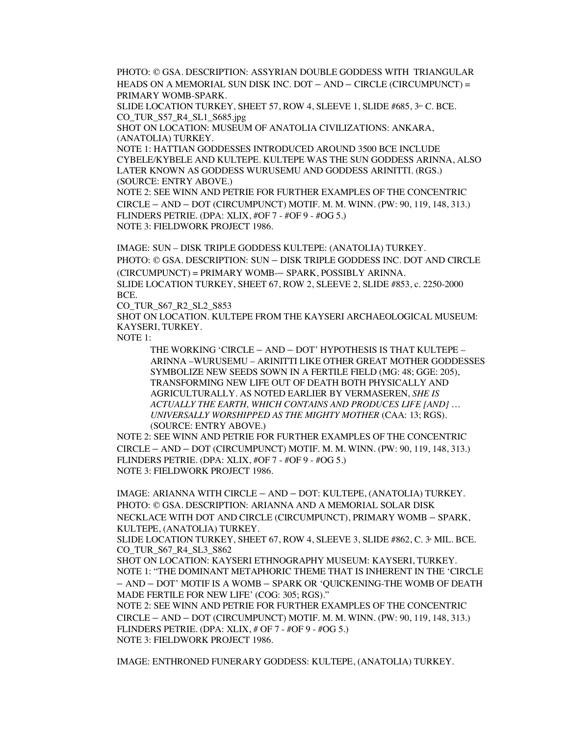PHOTO: © GSA. DESCRIPTION: ASSYRIAN DOUBLE GODDESS WITH TRIANGULAR HEADS ON A MEMORIAL SUN DISK INC. DOT – AND – CIRCLE (CIRCUMPUNCT) = PRIMARY WOMB-SPARK.

SLIDE LOCATION TURKEY, SHEET 57, ROW 4, SLEEVE 1, SLIDE  $\#685$ ,  $3^{\text{no}}$  C. BCE. CO\_TUR\_S57\_R4\_SL1\_S685.jpg

SHOT ON LOCATION: MUSEUM OF ANATOLIA CIVILIZATIONS: ANKARA, (ANATOLIA) TURKEY.

NOTE 1: HATTIAN GODDESSES INTRODUCED AROUND 3500 BCE INCLUDE CYBELE/KYBELE AND KULTEPE. KULTEPE WAS THE SUN GODDESS ARINNA, ALSO LATER KNOWN AS GODDESS WURUSEMU AND GODDESS ARINITTI. (RGS.) (SOURCE: ENTRY ABOVE.)

NOTE 2: SEE WINN AND PETRIE FOR FURTHER EXAMPLES OF THE CONCENTRIC CIRCLE – AND – DOT (CIRCUMPUNCT) MOTIF. M. M. WINN. (PW: 90, 119, 148, 313.) FLINDERS PETRIE. (DPA: XLIX, #OF 7 - #OF 9 - #OG 5.) NOTE 3: FIELDWORK PROJECT 1986.

IMAGE: SUN – DISK TRIPLE GODDESS KULTEPE: (ANATOLIA) TURKEY. PHOTO: © GSA. DESCRIPTION: SUN – DISK TRIPLE GODDESS INC. DOT AND CIRCLE (CIRCUMPUNCT) = PRIMARY WOMB-– SPARK, POSSIBLY ARINNA. SLIDE LOCATION TURKEY, SHEET 67, ROW 2, SLEEVE 2, SLIDE #853, c. 2250-2000 BCE.

CO\_TUR\_S67\_R2\_SL2\_S853

SHOT ON LOCATION. KULTEPE FROM THE KAYSERI ARCHAEOLOGICAL MUSEUM: KAYSERI, TURKEY.

NOTE 1:

THE WORKING 'CIRCLE – AND – DOT' HYPOTHESIS IS THAT KULTEPE – ARINNA –WURUSEMU – ARINITTI LIKE OTHER GREAT MOTHER GODDESSES SYMBOLIZE NEW SEEDS SOWN IN A FERTILE FIELD (MG: 48; GGE: 205), TRANSFORMING NEW LIFE OUT OF DEATH BOTH PHYSICALLY AND AGRICULTURALLY. AS NOTED EARLIER BY VERMASEREN, *SHE IS ACTUALLY THE EARTH, WHICH CONTAINS AND PRODUCES LIFE [AND] … UNIVERSALLY WORSHIPPED AS THE MIGHTY MOTHER* (CAA: 13; RGS). (SOURCE: ENTRY ABOVE.)

NOTE 2: SEE WINN AND PETRIE FOR FURTHER EXAMPLES OF THE CONCENTRIC CIRCLE – AND – DOT (CIRCUMPUNCT) MOTIF. M. M. WINN. (PW: 90, 119, 148, 313.) FLINDERS PETRIE. (DPA: XLIX, #OF 7 - #OF 9 - #OG 5.) NOTE 3: FIELDWORK PROJECT 1986.

IMAGE: ARIANNA WITH CIRCLE – AND – DOT: KULTEPE, (ANATOLIA) TURKEY. PHOTO: © GSA. DESCRIPTION: ARIANNA AND A MEMORIAL SOLAR DISK NECKLACE WITH DOT AND CIRCLE (CIRCUMPUNCT), PRIMARY WOMB – SPARK, KULTEPE, (ANATOLIA) TURKEY.

SLIDE LOCATION TURKEY, SHEET 67, ROW 4, SLEEVE 3, SLIDE #862, C. 3<sup>®</sup> MIL. BCE. CO\_TUR\_S67\_R4\_SL3\_S862

SHOT ON LOCATION: KAYSERI ETHNOGRAPHY MUSEUM: KAYSERI, TURKEY. NOTE 1: "THE DOMINANT METAPHORIC THEME THAT IS INHERENT IN THE 'CIRCLE – AND – DOT' MOTIF IS A WOMB – SPARK OR 'QUICKENING-THE WOMB OF DEATH MADE FERTILE FOR NEW LIFE' (COG: 305; RGS)."

NOTE 2: SEE WINN AND PETRIE FOR FURTHER EXAMPLES OF THE CONCENTRIC CIRCLE – AND – DOT (CIRCUMPUNCT) MOTIF. M. M. WINN. (PW: 90, 119, 148, 313.) FLINDERS PETRIE. (DPA: XLIX, # OF 7 - #OF 9 - #OG 5.) NOTE 3: FIELDWORK PROJECT 1986.

IMAGE: ENTHRONED FUNERARY GODDESS: KULTEPE, (ANATOLIA) TURKEY.